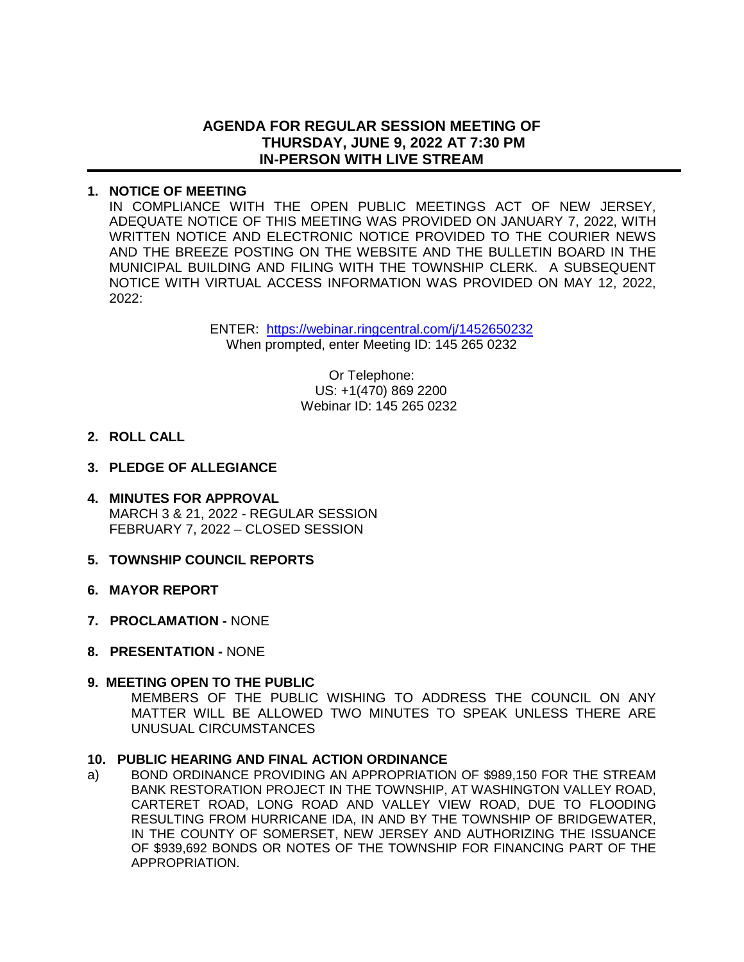## **AGENDA FOR REGULAR SESSION MEETING OF THURSDAY, JUNE 9, 2022 AT 7:30 PM IN-PERSON WITH LIVE STREAM**

### **1. NOTICE OF MEETING**

IN COMPLIANCE WITH THE OPEN PUBLIC MEETINGS ACT OF NEW JERSEY, ADEQUATE NOTICE OF THIS MEETING WAS PROVIDED ON JANUARY 7, 2022, WITH WRITTEN NOTICE AND ELECTRONIC NOTICE PROVIDED TO THE COURIER NEWS AND THE BREEZE POSTING ON THE WEBSITE AND THE BULLETIN BOARD IN THE MUNICIPAL BUILDING AND FILING WITH THE TOWNSHIP CLERK. A SUBSEQUENT NOTICE WITH VIRTUAL ACCESS INFORMATION WAS PROVIDED ON MAY 12, 2022, 2022:

> ENTER: <https://webinar.ringcentral.com/j/1452650232> When prompted, enter Meeting ID: 145 265 0232

> > Or Telephone: US: +1(470) 869 2200 Webinar ID: 145 265 0232

- **2. ROLL CALL**
- **3. PLEDGE OF ALLEGIANCE**
- **4. MINUTES FOR APPROVAL** MARCH 3 & 21, 2022 - REGULAR SESSION FEBRUARY 7, 2022 – CLOSED SESSION
- **5. TOWNSHIP COUNCIL REPORTS**
- **6. MAYOR REPORT**
- **7. PROCLAMATION** NONE
- **8. PRESENTATION** NONE

#### **9. MEETING OPEN TO THE PUBLIC**

 MEMBERS OF THE PUBLIC WISHING TO ADDRESS THE COUNCIL ON ANY MATTER WILL BE ALLOWED TWO MINUTES TO SPEAK UNLESS THERE ARE UNUSUAL CIRCUMSTANCES

#### **10. PUBLIC HEARING AND FINAL ACTION ORDINANCE**

a) BOND ORDINANCE PROVIDING AN APPROPRIATION OF \$989,150 FOR THE STREAM BANK RESTORATION PROJECT IN THE TOWNSHIP, AT WASHINGTON VALLEY ROAD, CARTERET ROAD, LONG ROAD AND VALLEY VIEW ROAD, DUE TO FLOODING RESULTING FROM HURRICANE IDA, IN AND BY THE TOWNSHIP OF BRIDGEWATER, IN THE COUNTY OF SOMERSET, NEW JERSEY AND AUTHORIZING THE ISSUANCE OF \$939,692 BONDS OR NOTES OF THE TOWNSHIP FOR FINANCING PART OF THE APPROPRIATION.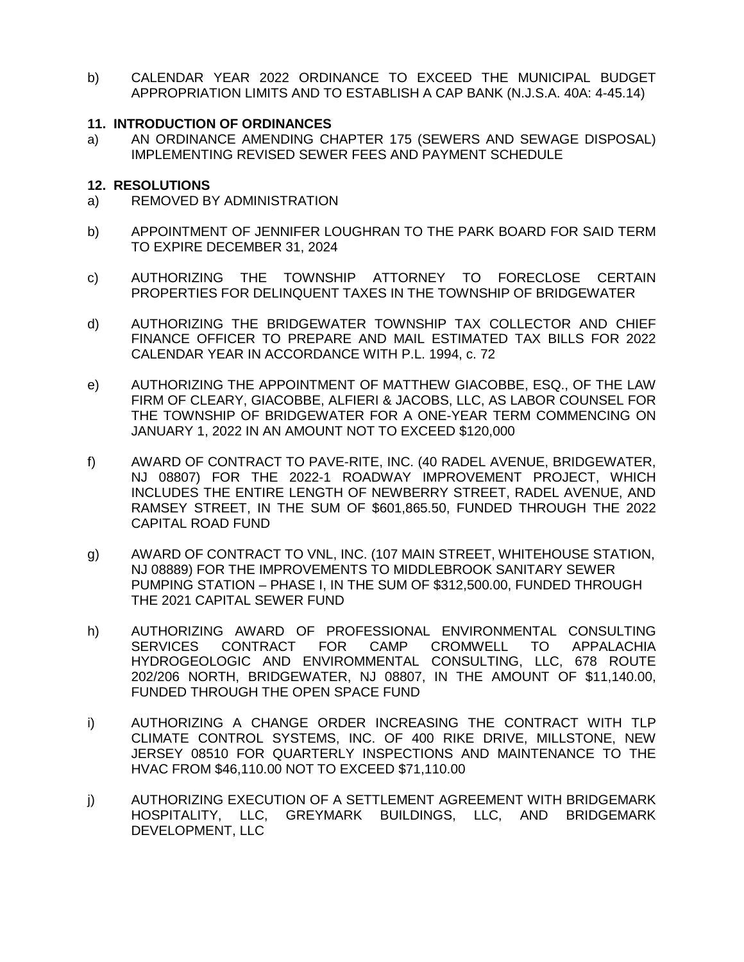b) CALENDAR YEAR 2022 ORDINANCE TO EXCEED THE MUNICIPAL BUDGET APPROPRIATION LIMITS AND TO ESTABLISH A CAP BANK (N.J.S.A. 40A: 4-45.14)

#### **11. INTRODUCTION OF ORDINANCES**

a) AN ORDINANCE AMENDING CHAPTER 175 (SEWERS AND SEWAGE DISPOSAL) IMPLEMENTING REVISED SEWER FEES AND PAYMENT SCHEDULE

### **12. RESOLUTIONS**

- a) REMOVED BY ADMINISTRATION
- b) APPOINTMENT OF JENNIFER LOUGHRAN TO THE PARK BOARD FOR SAID TERM TO EXPIRE DECEMBER 31, 2024
- c) AUTHORIZING THE TOWNSHIP ATTORNEY TO FORECLOSE CERTAIN PROPERTIES FOR DELINQUENT TAXES IN THE TOWNSHIP OF BRIDGEWATER
- d) AUTHORIZING THE BRIDGEWATER TOWNSHIP TAX COLLECTOR AND CHIEF FINANCE OFFICER TO PREPARE AND MAIL ESTIMATED TAX BILLS FOR 2022 CALENDAR YEAR IN ACCORDANCE WITH P.L. 1994, c. 72
- e) AUTHORIZING THE APPOINTMENT OF MATTHEW GIACOBBE, ESQ., OF THE LAW FIRM OF CLEARY, GIACOBBE, ALFIERI & JACOBS, LLC, AS LABOR COUNSEL FOR THE TOWNSHIP OF BRIDGEWATER FOR A ONE-YEAR TERM COMMENCING ON JANUARY 1, 2022 IN AN AMOUNT NOT TO EXCEED \$120,000
- f) AWARD OF CONTRACT TO PAVE-RITE, INC. (40 RADEL AVENUE, BRIDGEWATER, NJ 08807) FOR THE 2022-1 ROADWAY IMPROVEMENT PROJECT, WHICH INCLUDES THE ENTIRE LENGTH OF NEWBERRY STREET, RADEL AVENUE, AND RAMSEY STREET, IN THE SUM OF \$601,865.50, FUNDED THROUGH THE 2022 CAPITAL ROAD FUND
- g) AWARD OF CONTRACT TO VNL, INC. (107 MAIN STREET, WHITEHOUSE STATION, NJ 08889) FOR THE IMPROVEMENTS TO MIDDLEBROOK SANITARY SEWER PUMPING STATION – PHASE I, IN THE SUM OF \$312,500.00, FUNDED THROUGH THE 2021 CAPITAL SEWER FUND
- h) AUTHORIZING AWARD OF PROFESSIONAL ENVIRONMENTAL CONSULTING SERVICES CONTRACT FOR CAMP CROMWELL TO APPALACHIA HYDROGEOLOGIC AND ENVIROMMENTAL CONSULTING, LLC, 678 ROUTE 202/206 NORTH, BRIDGEWATER, NJ 08807, IN THE AMOUNT OF \$11,140.00, FUNDED THROUGH THE OPEN SPACE FUND
- i) AUTHORIZING A CHANGE ORDER INCREASING THE CONTRACT WITH TLP CLIMATE CONTROL SYSTEMS, INC. OF 400 RIKE DRIVE, MILLSTONE, NEW JERSEY 08510 FOR QUARTERLY INSPECTIONS AND MAINTENANCE TO THE HVAC FROM \$46,110.00 NOT TO EXCEED \$71,110.00
- j) AUTHORIZING EXECUTION OF A SETTLEMENT AGREEMENT WITH BRIDGEMARK HOSPITALITY, LLC, GREYMARK BUILDINGS, LLC, AND BRIDGEMARK DEVELOPMENT, LLC